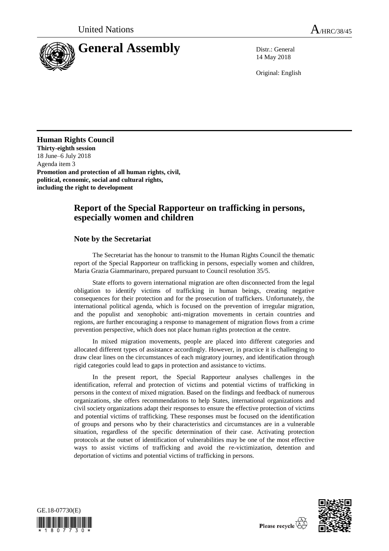

14 May 2018

Original: English

# **Human Rights Council**

**Thirty-eighth session** 18 June–6 July 2018 Agenda item 3 **Promotion and protection of all human rights, civil, political, economic, social and cultural rights, including the right to development**

# **Report of the Special Rapporteur on trafficking in persons, especially women and children**

## **Note by the Secretariat**

The Secretariat has the honour to transmit to the Human Rights Council the thematic report of the Special Rapporteur on trafficking in persons, especially women and children, Maria Grazia Giammarinaro, prepared pursuant to Council resolution 35/5.

State efforts to govern international migration are often disconnected from the legal obligation to identify victims of trafficking in human beings, creating negative consequences for their protection and for the prosecution of traffickers. Unfortunately, the international political agenda, which is focused on the prevention of irregular migration, and the populist and xenophobic anti-migration movements in certain countries and regions, are further encouraging a response to management of migration flows from a crime prevention perspective, which does not place human rights protection at the centre.

In mixed migration movements, people are placed into different categories and allocated different types of assistance accordingly. However, in practice it is challenging to draw clear lines on the circumstances of each migratory journey, and identification through rigid categories could lead to gaps in protection and assistance to victims.

In the present report, the Special Rapporteur analyses challenges in the identification, referral and protection of victims and potential victims of trafficking in persons in the context of mixed migration. Based on the findings and feedback of numerous organizations, she offers recommendations to help States, international organizations and civil society organizations adapt their responses to ensure the effective protection of victims and potential victims of trafficking. These responses must be focused on the identification of groups and persons who by their characteristics and circumstances are in a vulnerable situation, regardless of the specific determination of their case. Activating protection protocols at the outset of identification of vulnerabilities may be one of the most effective ways to assist victims of trafficking and avoid the re-victimization, detention and deportation of victims and potential victims of trafficking in persons.



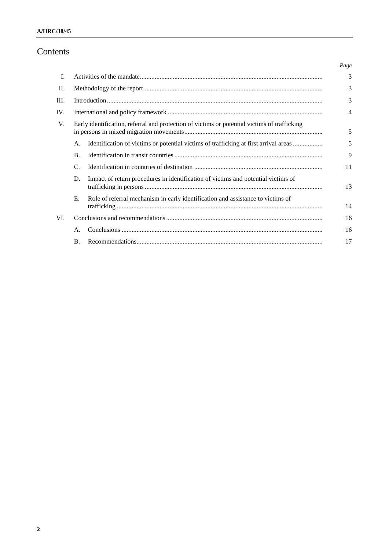### **A/HRC/38/45**

# Contents

|      |                                                                                              |                                                                                      | Page           |
|------|----------------------------------------------------------------------------------------------|--------------------------------------------------------------------------------------|----------------|
| I.   |                                                                                              |                                                                                      | 3              |
| П.   |                                                                                              |                                                                                      | 3              |
| III. |                                                                                              |                                                                                      | 3              |
| IV.  |                                                                                              |                                                                                      | $\overline{4}$ |
| V.   | Early identification, referral and protection of victims or potential victims of trafficking |                                                                                      | 5              |
|      | A.                                                                                           | Identification of victims or potential victims of trafficking at first arrival areas | 5              |
|      | <b>B.</b>                                                                                    |                                                                                      | 9              |
|      | C.                                                                                           |                                                                                      | 11             |
|      | D.                                                                                           | Impact of return procedures in identification of victims and potential victims of    | 13             |
|      | Е.                                                                                           | Role of referral mechanism in early identification and assistance to victims of      | 14             |
| VI.  |                                                                                              |                                                                                      | 16             |
|      | А.                                                                                           |                                                                                      | 16             |
|      | $\bf{B}$ .                                                                                   |                                                                                      | 17             |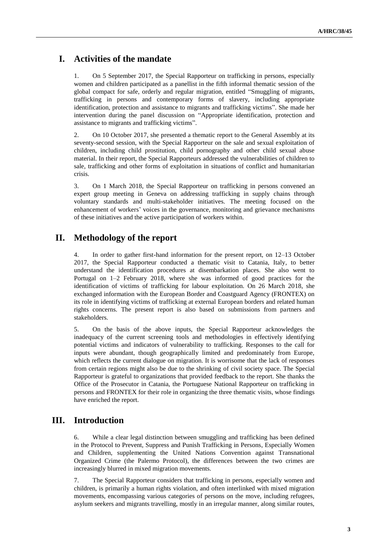# **I. Activities of the mandate**

1. On 5 September 2017, the Special Rapporteur on trafficking in persons, especially women and children participated as a panellist in the fifth informal thematic session of the global compact for safe, orderly and regular migration, entitled "Smuggling of migrants, trafficking in persons and contemporary forms of slavery, including appropriate identification, protection and assistance to migrants and trafficking victims". She made her intervention during the panel discussion on "Appropriate identification, protection and assistance to migrants and trafficking victims".

2. On 10 October 2017, she presented a thematic report to the General Assembly at its seventy-second session, with the Special Rapporteur on the sale and sexual exploitation of children, including child prostitution, child pornography and other child sexual abuse material. In their report, the Special Rapporteurs addressed the vulnerabilities of children to sale, trafficking and other forms of exploitation in situations of conflict and humanitarian crisis.

3. On 1 March 2018, the Special Rapporteur on trafficking in persons convened an expert group meeting in Geneva on addressing trafficking in supply chains through voluntary standards and multi-stakeholder initiatives. The meeting focused on the enhancement of workers' voices in the governance, monitoring and grievance mechanisms of these initiatives and the active participation of workers within.

# **II. Methodology of the report**

4. In order to gather first-hand information for the present report, on 12–13 October 2017, the Special Rapporteur conducted a thematic visit to Catania, Italy, to better understand the identification procedures at disembarkation places. She also went to Portugal on 1–2 February 2018, where she was informed of good practices for the identification of victims of trafficking for labour exploitation. On 26 March 2018, she exchanged information with the European Border and Coastguard Agency (FRONTEX) on its role in identifying victims of trafficking at external European borders and related human rights concerns. The present report is also based on submissions from partners and stakeholders.

5. On the basis of the above inputs, the Special Rapporteur acknowledges the inadequacy of the current screening tools and methodologies in effectively identifying potential victims and indicators of vulnerability to trafficking. Responses to the call for inputs were abundant, though geographically limited and predominately from Europe, which reflects the current dialogue on migration. It is worrisome that the lack of responses from certain regions might also be due to the shrinking of civil society space. The Special Rapporteur is grateful to organizations that provided feedback to the report. She thanks the Office of the Prosecutor in Catania, the Portuguese National Rapporteur on trafficking in persons and FRONTEX for their role in organizing the three thematic visits, whose findings have enriched the report.

## **III. Introduction**

6. While a clear legal distinction between smuggling and trafficking has been defined in the Protocol to Prevent, Suppress and Punish Trafficking in Persons, Especially Women and Children, supplementing the United Nations Convention against Transnational Organized Crime (the Palermo Protocol), the differences between the two crimes are increasingly blurred in mixed migration movements.

7. The Special Rapporteur considers that trafficking in persons, especially women and children, is primarily a human rights violation, and often interlinked with mixed migration movements, encompassing various categories of persons on the move, including refugees, asylum seekers and migrants travelling, mostly in an irregular manner, along similar routes,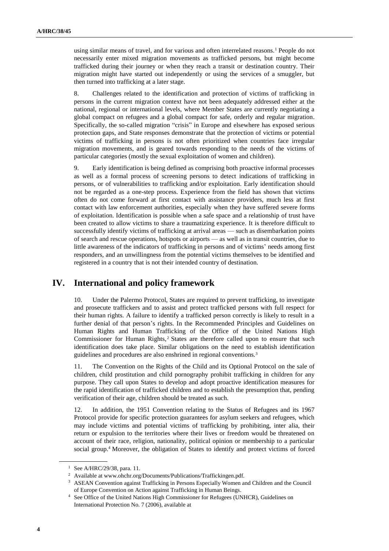using similar means of travel, and for various and often interrelated reasons.<sup>1</sup> People do not necessarily enter mixed migration movements as trafficked persons, but might become trafficked during their journey or when they reach a transit or destination country. Their migration might have started out independently or using the services of a smuggler, but then turned into trafficking at a later stage.

8. Challenges related to the identification and protection of victims of trafficking in persons in the current migration context have not been adequately addressed either at the national, regional or international levels, where Member States are currently negotiating a global compact on refugees and a global compact for safe, orderly and regular migration. Specifically, the so-called migration "crisis" in Europe and elsewhere has exposed serious protection gaps, and State responses demonstrate that the protection of victims or potential victims of trafficking in persons is not often prioritized when countries face irregular migration movements, and is geared towards responding to the needs of the victims of particular categories (mostly the sexual exploitation of women and children).

9. Early identification is being defined as comprising both proactive informal processes as well as a formal process of screening persons to detect indications of trafficking in persons, or of vulnerabilities to trafficking and/or exploitation. Early identification should not be regarded as a one-step process. Experience from the field has shown that victims often do not come forward at first contact with assistance providers, much less at first contact with law enforcement authorities, especially when they have suffered severe forms of exploitation. Identification is possible when a safe space and a relationship of trust have been created to allow victims to share a traumatizing experience. It is therefore difficult to successfully identify victims of trafficking at arrival areas — such as disembarkation points of search and rescue operations, hotspots or airports — as well as in transit countries, due to little awareness of the indicators of trafficking in persons and of victims' needs among first responders, and an unwillingness from the potential victims themselves to be identified and registered in a country that is not their intended country of destination.

## **IV. International and policy framework**

10. Under the Palermo Protocol, States are required to prevent trafficking, to investigate and prosecute traffickers and to assist and protect trafficked persons with full respect for their human rights. A failure to identify a trafficked person correctly is likely to result in a further denial of that person's rights. In the Recommended Principles and Guidelines on Human Rights and Human Trafficking of the Office of the United Nations High Commissioner for Human Rights, $2$  States are therefore called upon to ensure that such identification does take place. Similar obligations on the need to establish identification guidelines and procedures are also enshrined in regional conventions.<sup>3</sup>

11. The Convention on the Rights of the Child and its Optional Protocol on the sale of children, child prostitution and child pornography prohibit trafficking in children for any purpose. They call upon States to develop and adopt proactive identification measures for the rapid identification of trafficked children and to establish the presumption that, pending verification of their age, children should be treated as such.

12. In addition, the 1951 Convention relating to the Status of Refugees and its 1967 Protocol provide for specific protection guarantees for asylum seekers and refugees, which may include victims and potential victims of trafficking by prohibiting, inter alia, their return or expulsion to the territories where their lives or freedom would be threatened on account of their race, religion, nationality, political opinion or membership to a particular social group.<sup>4</sup> Moreover, the obligation of States to identify and protect victims of forced

<sup>1</sup> See A/HRC/29/38, para. 11.

<sup>2</sup> Available at www.ohchr.org/Documents/Publications/Traffickingen.pdf.

<sup>&</sup>lt;sup>3</sup> ASEAN Convention against Trafficking in Persons Especially Women and Children and the Council of Europe Convention on Action against Trafficking in Human Beings.

<sup>4</sup> See Office of the United Nations High Commissioner for Refugees (UNHCR), Guidelines on International Protection No. 7 (2006), available at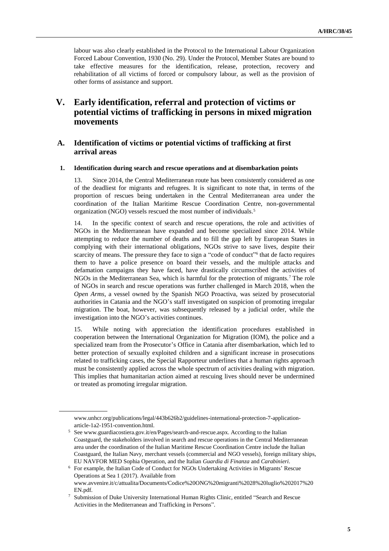labour was also clearly established in the Protocol to the International Labour Organization Forced Labour Convention, 1930 (No. 29). Under the Protocol, Member States are bound to take effective measures for the identification, release, protection, recovery and rehabilitation of all victims of forced or compulsory labour, as well as the provision of other forms of assistance and support.

# **V. Early identification, referral and protection of victims or potential victims of trafficking in persons in mixed migration movements**

### **A. Identification of victims or potential victims of trafficking at first arrival areas**

#### **1. Identification during search and rescue operations and at disembarkation points**

13. Since 2014, the Central Mediterranean route has been consistently considered as one of the deadliest for migrants and refugees. It is significant to note that, in terms of the proportion of rescues being undertaken in the Central Mediterranean area under the coordination of the Italian Maritime Rescue Coordination Centre, non-governmental organization (NGO) vessels rescued the most number of individuals.<sup>5</sup>

14. In the specific context of search and rescue operations, the role and activities of NGOs in the Mediterranean have expanded and become specialized since 2014. While attempting to reduce the number of deaths and to fill the gap left by European States in complying with their international obligations, NGOs strive to save lives, despite their scarcity of means. The pressure they face to sign a "code of conduct" that de facto requires them to have a police presence on board their vessels, and the multiple attacks and defamation campaigns they have faced, have drastically circumscribed the activities of NGOs in the Mediterranean Sea, which is harmful for the protection of migrants.<sup>7</sup> The role of NGOs in search and rescue operations was further challenged in March 2018, when the *Open Arms*, a vessel owned by the Spanish NGO Proactiva, was seized by prosecutorial authorities in Catania and the NGO's staff investigated on suspicion of promoting irregular migration. The boat, however, was subsequently released by a judicial order, while the investigation into the NGO's activities continues.

15. While noting with appreciation the identification procedures established in cooperation between the International Organization for Migration (IOM), the police and a specialized team from the Prosecutor's Office in Catania after disembarkation, which led to better protection of sexually exploited children and a significant increase in prosecutions related to trafficking cases, the Special Rapporteur underlines that a human rights approach must be consistently applied across the whole spectrum of activities dealing with migration. This implies that humanitarian action aimed at rescuing lives should never be undermined or treated as promoting irregular migration.

www.unhcr.org/publications/legal/443b626b2/guidelines-international-protection-7-applicationarticle-1a2-1951-convention.html.

<sup>5</sup> Se[e www.guardiacostiera.gov.it/en/Pages/search-and-rescue.aspx.](http://www.guardiacostiera.gov.it/en/Pages/search-and-rescue.aspx) According to the Italian Coastguard, the stakeholders involved in search and rescue operations in the Central Mediterranean area under the coordination of the Italian Maritime Rescue Coordination Centre include the Italian Coastguard, the Italian Navy, merchant vessels (commercial and NGO vessels), foreign military ships, EU NAVFOR MED Sophia Operation, and the Italian *Guardia di Finanza* and *Carabinieri*.

<sup>6</sup> For example, the Italian Code of Conduct for NGOs Undertaking Activities in Migrants' Rescue Operations at Sea 1 (2017). Available from www.avvenire.it/c/attualita/Documents/Codice%20ONG%20migranti%2028%20luglio%202017%20

EN.pdf. <sup>7</sup> Submission of Duke University International Human Rights Clinic, entitled "Search and Rescue Activities in the Mediterranean and Trafficking in Persons".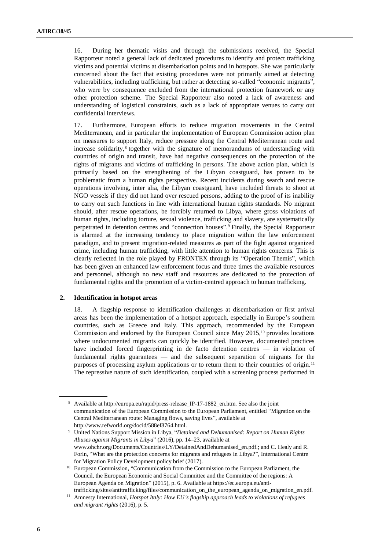16. During her thematic visits and through the submissions received, the Special Rapporteur noted a general lack of dedicated procedures to identify and protect trafficking victims and potential victims at disembarkation points and in hotspots. She was particularly concerned about the fact that existing procedures were not primarily aimed at detecting vulnerabilities, including trafficking, but rather at detecting so-called "economic migrants", who were by consequence excluded from the international protection framework or any other protection scheme. The Special Rapporteur also noted a lack of awareness and understanding of logistical constraints, such as a lack of appropriate venues to carry out confidential interviews.

17. Furthermore, European efforts to reduce migration movements in the Central Mediterranean, and in particular the implementation of European Commission action plan on measures to support Italy, reduce pressure along the Central Mediterranean route and increase solidarity,<sup>8</sup> together with the signature of memorandums of understanding with countries of origin and transit, have had negative consequences on the protection of the rights of migrants and victims of trafficking in persons. The above action plan, which is primarily based on the strengthening of the Libyan coastguard, has proven to be problematic from a human rights perspective. Recent incidents during search and rescue operations involving, inter alia, the Libyan coastguard, have included threats to shoot at NGO vessels if they did not hand over rescued persons, adding to the proof of its inability to carry out such functions in line with international human rights standards. No migrant should, after rescue operations, be forcibly returned to Libya, where gross violations of human rights, including torture, sexual violence, trafficking and slavery, are systematically perpetrated in detention centres and "connection houses". <sup>9</sup> Finally, the Special Rapporteur is alarmed at the increasing tendency to place migration within the law enforcement paradigm, and to present migration-related measures as part of the fight against organized crime, including human trafficking, with little attention to human rights concerns. This is clearly reflected in the role played by FRONTEX through its "Operation Themis", which has been given an enhanced law enforcement focus and three times the available resources and personnel, although no new staff and resources are dedicated to the protection of fundamental rights and the promotion of a victim-centred approach to human trafficking.

#### **2. Identification in hotspot areas**

18. A flagship response to identification challenges at disembarkation or first arrival areas has been the implementation of a hotspot approach, especially in Europe's southern countries, such as Greece and Italy. This approach, recommended by the European Commission and endorsed by the European Council since May 2015,<sup>10</sup> provides locations where undocumented migrants can quickly be identified. However, documented practices have included forced fingerprinting in de facto detention centres — in violation of fundamental rights guarantees — and the subsequent separation of migrants for the purposes of processing asylum applications or to return them to their countries of origin.<sup>11</sup> The repressive nature of such identification, coupled with a screening process performed in

<sup>8</sup> Available at http://europa.eu/rapid/press-release\_IP-17-1882\_en.htm. See also the joint communication of the European Commission to the European Parliament, entitled "Migration on the Central Mediterranean route: Managing flows, saving lives", available at http://www.refworld.org/docid/588ef8764.html.

<sup>9</sup> United Nations Support Mission in Libya, "*Detained and Dehumanised: Report on Human Rights Abuses against Migrants in Libya*" (2016), pp. 14–23, available at www.ohchr.org/Documents/Countries/LY/DetainedAndDehumanised\_en.pdf.; and C. Healy and R. Forin, "What are the protection concerns for migrants and refugees in Libya?", International Centre for Migration Policy Development policy brief (2017).

<sup>&</sup>lt;sup>10</sup> European Commission, "Communication from the Commission to the European Parliament, the Council, the European Economic and Social Committee and the Committee of the regions: A European Agenda on Migration" (2015), p. 6. Available at https://ec.europa.eu/antitrafficking/sites/antitrafficking/files/communication\_on\_the\_european\_agenda\_on\_migration\_en.pdf.

<sup>11</sup> Amnesty International, *Hotspot Italy: How EU's flagship approach leads to violations of refugees and migrant rights* (2016), p. 5.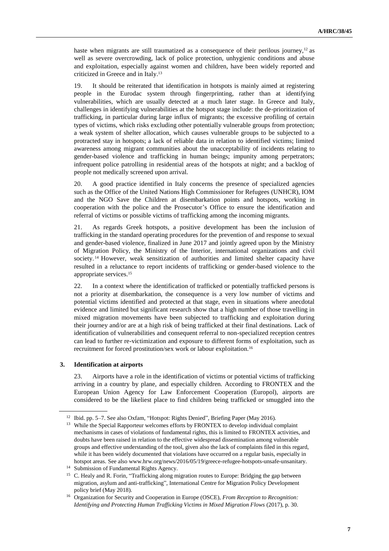haste when migrants are still traumatized as a consequence of their perilous journey,<sup>12</sup> as well as severe overcrowding, lack of police protection, unhygienic conditions and abuse and exploitation, especially against women and children, have been widely reported and criticized in Greece and in Italy. 13

19. It should be reiterated that identification in hotspots is mainly aimed at registering people in the Eurodac system through fingerprinting, rather than at identifying vulnerabilities, which are usually detected at a much later stage. In Greece and Italy, challenges in identifying vulnerabilities at the hotspot stage include: the de-prioritization of trafficking, in particular during large influx of migrants; the excessive profiling of certain types of victims, which risks excluding other potentially vulnerable groups from protection; a weak system of shelter allocation, which causes vulnerable groups to be subjected to a protracted stay in hotspots; a lack of reliable data in relation to identified victims; limited awareness among migrant communities about the unacceptability of incidents relating to gender-based violence and trafficking in human beings; impunity among perpetrators; infrequent police patrolling in residential areas of the hotspots at night; and a backlog of people not medically screened upon arrival.

20. A good practice identified in Italy concerns the presence of specialized agencies such as the Office of the United Nations High Commissioner for Refugees (UNHCR), IOM and the NGO Save the Children at disembarkation points and hotspots, working in cooperation with the police and the Prosecutor's Office to ensure the identification and referral of victims or possible victims of trafficking among the incoming migrants.

21. As regards Greek hotspots, a positive development has been the inclusion of trafficking in the standard operating procedures for the prevention of and response to sexual and gender-based violence, finalized in June 2017 and jointly agreed upon by the Ministry of Migration Policy, the Ministry of the Interior, international organizations and civil society.<sup>14</sup> However, weak sensitization of authorities and limited shelter capacity have resulted in a reluctance to report incidents of trafficking or gender-based violence to the appropriate services.<sup>15</sup>

22. In a context where the identification of trafficked or potentially trafficked persons is not a priority at disembarkation, the consequence is a very low number of victims and potential victims identified and protected at that stage, even in situations where anecdotal evidence and limited but significant research show that a high number of those travelling in mixed migration movements have been subjected to trafficking and exploitation during their journey and/or are at a high risk of being trafficked at their final destinations. Lack of identification of vulnerabilities and consequent referral to non-specialized reception centres can lead to further re-victimization and exposure to different forms of exploitation, such as recruitment for forced prostitution/sex work or labour exploitation.<sup>16</sup>

#### **3. Identification at airports**

23. Airports have a role in the identification of victims or potential victims of trafficking arriving in a country by plane, and especially children. According to FRONTEX and the European Union Agency for Law Enforcement Cooperation (Europol), airports are considered to be the likeliest place to find children being trafficked or smuggled into the

<sup>&</sup>lt;sup>12</sup> Ibid. pp. 5–7. See also Oxfam, "Hotspot: Rights Denied", Briefing Paper (May 2016).

<sup>&</sup>lt;sup>13</sup> While the Special Rapporteur welcomes efforts by FRONTEX to develop individual complaint mechanisms in cases of violations of fundamental rights, this is limited to FRONTEX activities, and doubts have been raised in relation to the effective widespread dissemination among vulnerable groups and effective understanding of the tool, given also the lack of complaints filed in this regard, while it has been widely documented that violations have occurred on a regular basis, especially in hotspot areas. See also www.hrw.org/news/2016/05/19/greece-refugee-hotspots-unsafe-unsanitary.

<sup>&</sup>lt;sup>14</sup> Submission of Fundamental Rights Agency.

<sup>&</sup>lt;sup>15</sup> C. Healy and R. Forin, "Trafficking along migration routes to Europe: Bridging the gap between migration, asylum and anti-trafficking", International Centre for Migration Policy Development policy brief (May 2018).

<sup>16</sup> Organization for Security and Cooperation in Europe (OSCE), *From Reception to Recognition: Identifying and Protecting Human Trafficking Victims in Mixed Migration Flows* (2017), p. 30.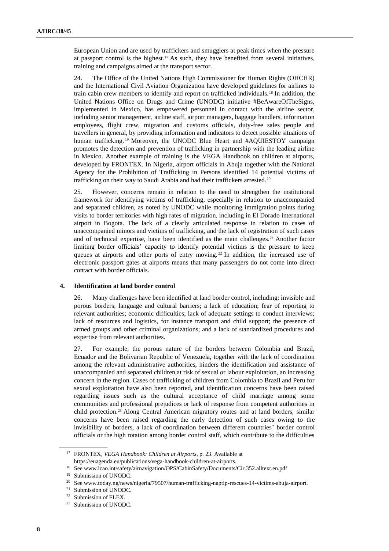European Union and are used by traffickers and smugglers at peak times when the pressure at passport control is the highest.<sup>17</sup> As such, they have benefited from several initiatives, training and campaigns aimed at the transport sector.

24. The Office of the United Nations High Commissioner for Human Rights (OHCHR) and the International Civil Aviation Organization have developed guidelines for airlines to train cabin crew members to identify and report on trafficked individuals.<sup>18</sup> In addition, the United Nations Office on Drugs and Crime (UNODC) initiative #BeAwareOfTheSigns, implemented in Mexico, has empowered personnel in contact with the airline sector, including senior management, airline staff, airport managers, baggage handlers, information employees, flight crew, migration and customs officials, duty-free sales people and travellers in general, by providing information and indicators to detect possible situations of human trafficking.<sup>19</sup> Moreover, the UNODC Blue Heart and #AQUIESTOY campaign promotes the detection and prevention of trafficking in partnership with the leading airline in Mexico. Another example of training is the VEGA Handbook on children at airports, developed by FRONTEX. In Nigeria, airport officials in Abuja together with the National Agency for the Prohibition of Trafficking in Persons identified 14 potential victims of trafficking on their way to Saudi Arabia and had their traffickers arrested.<sup>20</sup>

25. However, concerns remain in relation to the need to strengthen the institutional framework for identifying victims of trafficking, especially in relation to unaccompanied and separated children, as noted by UNODC while monitoring immigration points during visits to border territories with high rates of migration, including in El Dorado international airport in Bogota. The lack of a clearly articulated response in relation to cases of unaccompanied minors and victims of trafficking, and the lack of registration of such cases and of technical expertise, have been identified as the main challenges.<sup>21</sup> Another factor limiting border officials' capacity to identify potential victims is the pressure to keep queues at airports and other ports of entry moving.<sup>22</sup> In addition, the increased use of electronic passport gates at airports means that many passengers do not come into direct contact with border officials.

#### **4. Identification at land border control**

26. Many challenges have been identified at land border control, including: invisible and porous borders; language and cultural barriers; a lack of education; fear of reporting to relevant authorities; economic difficulties; lack of adequate settings to conduct interviews; lack of resources and logistics, for instance transport and child support; the presence of armed groups and other criminal organizations; and a lack of standardized procedures and expertise from relevant authorities.

27. For example, the porous nature of the borders between Colombia and Brazil, Ecuador and the Bolivarian Republic of Venezuela, together with the lack of coordination among the relevant administrative authorities, hinders the identification and assistance of unaccompanied and separated children at risk of sexual or labour exploitation, an increasing concern in the region. Cases of trafficking of children from Colombia to Brazil and Peru for sexual exploitation have also been reported, and identification concerns have been raised regarding issues such as the cultural acceptance of child marriage among some communities and professional prejudices or lack of response from competent authorities in child protection.<sup>23</sup> Along Central American migratory routes and at land borders, similar concerns have been raised regarding the early detection of such cases owing to the invisibility of borders, a lack of coordination between different countries' border control officials or the high rotation among border control staff, which contribute to the difficulties

<sup>17</sup> FRONTEX, *VEGA Handbook: Children at Airports*, p. 23. Available at https://euagenda.eu/publications/vega-handbook-children-at-airports.

<sup>18</sup> See www.icao.int/safety/airnavigation/OPS/CabinSafety/Documents/Cir.352.alltext.en.pdf

<sup>19</sup> Submission of UNODC.

<sup>20</sup> Se[e www.today.ng/news/nigeria/79507/human-trafficking-naptip-rescues-14-victims-abuja-airport.](file:///C:/Users/Alice.Dieci/AppData/Local/Microsoft/Windows/INetCache/Content.Outlook/D43TP7VX/www.today.ng/news/nigeria/79507/human-trafficking-naptip-rescues-14-victims-abuja-airport)

<sup>21</sup> Submission of UNODC.

 $^{22}$  Submission of FLEX.<br> $^{23}$  Submission of UNOD

Submission of UNODC.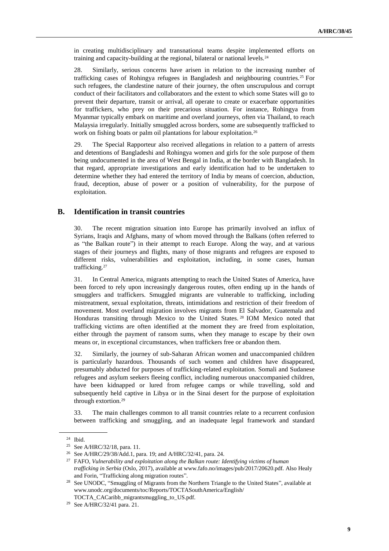in creating multidisciplinary and transnational teams despite implemented efforts on training and capacity-building at the regional, bilateral or national levels.<sup>24</sup>

28. Similarly, serious concerns have arisen in relation to the increasing number of trafficking cases of Rohingya refugees in Bangladesh and neighbouring countries.<sup>25</sup> For such refugees, the clandestine nature of their journey, the often unscrupulous and corrupt conduct of their facilitators and collaborators and the extent to which some States will go to prevent their departure, transit or arrival, all operate to create or exacerbate opportunities for traffickers, who prey on their precarious situation. For instance, Rohingya from Myanmar typically embark on maritime and overland journeys, often via Thailand, to reach Malaysia irregularly. Initially smuggled across borders, some are subsequently trafficked to work on fishing boats or palm oil plantations for labour exploitation.<sup>26</sup>

29. The Special Rapporteur also received allegations in relation to a pattern of arrests and detentions of Bangladeshi and Rohingya women and girls for the sole purpose of them being undocumented in the area of West Bengal in India, at the border with Bangladesh. In that regard, appropriate investigations and early identification had to be undertaken to determine whether they had entered the territory of India by means of coercion, abduction, fraud, deception, abuse of power or a position of vulnerability, for the purpose of exploitation.

## **B. Identification in transit countries**

30. The recent migration situation into Europe has primarily involved an influx of Syrians, Iraqis and Afghans, many of whom moved through the Balkans (often referred to as "the Balkan route") in their attempt to reach Europe. Along the way, and at various stages of their journeys and flights, many of those migrants and refugees are exposed to different risks, vulnerabilities and exploitation, including, in some cases, human trafficking.<sup>27</sup>

31. In Central America, migrants attempting to reach the United States of America, have been forced to rely upon increasingly dangerous routes, often ending up in the hands of smugglers and traffickers. Smuggled migrants are vulnerable to trafficking, including mistreatment, sexual exploitation, threats, intimidations and restriction of their freedom of movement. Most overland migration involves migrants from El Salvador, Guatemala and Honduras transiting through Mexico to the United States. <sup>28</sup> IOM Mexico noted that trafficking victims are often identified at the moment they are freed from exploitation, either through the payment of ransom sums, when they manage to escape by their own means or, in exceptional circumstances, when traffickers free or abandon them.

32. Similarly, the journey of sub-Saharan African women and unaccompanied children is particularly hazardous. Thousands of such women and children have disappeared, presumably abducted for purposes of trafficking-related exploitation. Somali and Sudanese refugees and asylum seekers fleeing conflict, including numerous unaccompanied children, have been kidnapped or lured from refugee camps or while travelling, sold and subsequently held captive in Libya or in the Sinai desert for the purpose of exploitation through extortion.<sup>29</sup>

33. The main challenges common to all transit countries relate to a recurrent confusion between trafficking and smuggling, and an inadequate legal framework and standard

<sup>24</sup> Ibid.

<sup>25</sup> See A/HRC/32/18, para. 11.

<sup>26</sup> See A/HRC/29/38/Add.1, para. 19; and A/HRC/32/41, para. 24.

<sup>27</sup> FAFO, *Vulnerability and exploitation along the Balkan route: Identifying victims of human trafficking in Serbia* (Oslo, 2017), available at www.fafo.no/images/pub/2017/20620.pdf*.* Also Healy and Forin, "Trafficking along migration routes".

<sup>&</sup>lt;sup>28</sup> See UNODC, "Smuggling of Migrants from the Northern Triangle to the United States", available at www.unodc.org/documents/toc/Reports/TOCTASouthAmerica/English/ TOCTA\_CACaribb\_migrantsmuggling\_to\_US.pdf.

<sup>29</sup> See A/HRC/32/41 para. 21.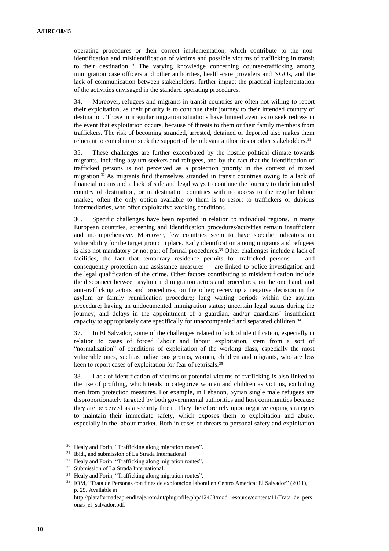operating procedures or their correct implementation, which contribute to the nonidentification and misidentification of victims and possible victims of trafficking in transit to their destination. <sup>30</sup> The varying knowledge concerning counter-trafficking among immigration case officers and other authorities, health-care providers and NGOs, and the lack of communication between stakeholders, further impact the practical implementation of the activities envisaged in the standard operating procedures.

34. Moreover, refugees and migrants in transit countries are often not willing to report their exploitation, as their priority is to continue their journey to their intended country of destination. Those in irregular migration situations have limited avenues to seek redress in the event that exploitation occurs, because of threats to them or their family members from traffickers. The risk of becoming stranded, arrested, detained or deported also makes them reluctant to complain or seek the support of the relevant authorities or other stakeholders.<sup>31</sup>

35. These challenges are further exacerbated by the hostile political climate towards migrants, including asylum seekers and refugees, and by the fact that the identification of trafficked persons is not perceived as a protection priority in the context of mixed migration.<sup>32</sup> As migrants find themselves stranded in transit countries owing to a lack of financial means and a lack of safe and legal ways to continue the journey to their intended country of destination, or in destination countries with no access to the regular labour market, often the only option available to them is to resort to traffickers or dubious intermediaries, who offer exploitative working conditions.

36. Specific challenges have been reported in relation to individual regions. In many European countries, screening and identification procedures/activities remain insufficient and incomprehensive. Moreover, few countries seem to have specific indicators on vulnerability for the target group in place. Early identification among migrants and refugees is also not mandatory or not part of formal procedures.<sup>33</sup> Other challenges include a lack of facilities, the fact that temporary residence permits for trafficked persons — and consequently protection and assistance measures — are linked to police investigation and the legal qualification of the crime. Other factors contributing to misidentification include the disconnect between asylum and migration actors and procedures, on the one hand, and anti-trafficking actors and procedures, on the other; receiving a negative decision in the asylum or family reunification procedure; long waiting periods within the asylum procedure; having an undocumented immigration status; uncertain legal status during the journey; and delays in the appointment of a guardian, and/or guardians' insufficient capacity to appropriately care specifically for unaccompanied and separated children.<sup>34</sup>

37. In El Salvador, some of the challenges related to lack of identification, especially in relation to cases of forced labour and labour exploitation, stem from a sort of "normalization" of conditions of exploitation of the working class, especially the most vulnerable ones, such as indigenous groups, women, children and migrants, who are less keen to report cases of exploitation for fear of reprisals.<sup>35</sup>

38. Lack of identification of victims or potential victims of trafficking is also linked to the use of profiling, which tends to categorize women and children as victims, excluding men from protection measures. For example, in Lebanon, Syrian single male refugees are disproportionately targeted by both governmental authorities and host communities because they are perceived as a security threat. They therefore rely upon negative coping strategies to maintain their immediate safety, which exposes them to exploitation and abuse, especially in the labour market. Both in cases of threats to personal safety and exploitation

<sup>30</sup> Healy and Forin, "Trafficking along migration routes".

<sup>31</sup> Ibid., and submission of La Strada International.

<sup>&</sup>lt;sup>32</sup> Healy and Forin, "Trafficking along migration routes".

<sup>&</sup>lt;sup>33</sup> Submission of La Strada International.

<sup>34</sup> Healy and Forin, "Trafficking along migration routes".

<sup>35</sup> IOM, "Trata de Personas con fines de explotacion laboral en Centro America: El Salvador" (2011), p. 29. Available at

[http://plataformadeaprendizaje.iom.int/pluginfile.php/12468/mod\\_resource/content/11/Trata\\_de\\_pers](http://plataformadeaprendizaje.iom.int/pluginfile.php/12468/mod_resource/content/11/Trata_de_personas_el_salvador.pdf) [onas\\_el\\_salvador.pdf.](http://plataformadeaprendizaje.iom.int/pluginfile.php/12468/mod_resource/content/11/Trata_de_personas_el_salvador.pdf)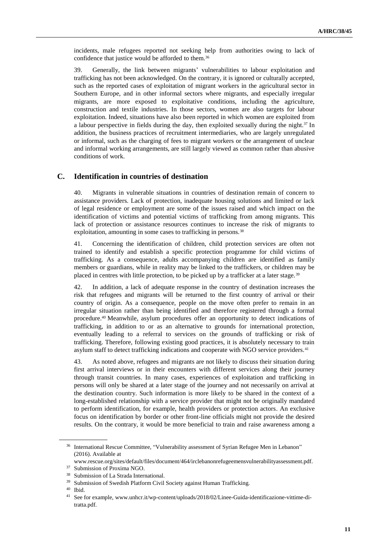incidents, male refugees reported not seeking help from authorities owing to lack of confidence that justice would be afforded to them.<sup>36</sup>

39. Generally, the link between migrants' vulnerabilities to labour exploitation and trafficking has not been acknowledged. On the contrary, it is ignored or culturally accepted, such as the reported cases of exploitation of migrant workers in the agricultural sector in Southern Europe, and in other informal sectors where migrants, and especially irregular migrants, are more exposed to exploitative conditions, including the agriculture, construction and textile industries. In those sectors, women are also targets for labour exploitation. Indeed, situations have also been reported in which women are exploited from a labour perspective in fields during the day, then exploited sexually during the night. $37$  In addition, the business practices of recruitment intermediaries, who are largely unregulated or informal, such as the charging of fees to migrant workers or the arrangement of unclear and informal working arrangements, are still largely viewed as common rather than abusive conditions of work.

### **C. Identification in countries of destination**

40. Migrants in vulnerable situations in countries of destination remain of concern to assistance providers. Lack of protection, inadequate housing solutions and limited or lack of legal residence or employment are some of the issues raised and which impact on the identification of victims and potential victims of trafficking from among migrants. This lack of protection or assistance resources continues to increase the risk of migrants to exploitation, amounting in some cases to trafficking in persons.<sup>38</sup>

41. Concerning the identification of children, child protection services are often not trained to identify and establish a specific protection programme for child victims of trafficking. As a consequence, adults accompanying children are identified as family members or guardians, while in reality may be linked to the traffickers, or children may be placed in centres with little protection, to be picked up by a trafficker at a later stage.<sup>39</sup>

42. In addition, a lack of adequate response in the country of destination increases the risk that refugees and migrants will be returned to the first country of arrival or their country of origin. As a consequence, people on the move often prefer to remain in an irregular situation rather than being identified and therefore registered through a formal procedure.<sup>40</sup> Meanwhile, asylum procedures offer an opportunity to detect indications of trafficking, in addition to or as an alternative to grounds for international protection, eventually leading to a referral to services on the grounds of trafficking or risk of trafficking. Therefore, following existing good practices, it is absolutely necessary to train asylum staff to detect trafficking indications and cooperate with NGO service providers.<sup>41</sup>

43. As noted above, refugees and migrants are not likely to discuss their situation during first arrival interviews or in their encounters with different services along their journey through transit countries. In many cases, experiences of exploitation and trafficking in persons will only be shared at a later stage of the journey and not necessarily on arrival at the destination country. Such information is more likely to be shared in the context of a long-established relationship with a service provider that might not be originally mandated to perform identification, for example, health providers or protection actors. An exclusive focus on identification by border or other front-line officials might not provide the desired results. On the contrary, it would be more beneficial to train and raise awareness among a

<sup>&</sup>lt;sup>36</sup> International Rescue Committee, "Vulnerability assessment of Syrian Refugee Men in Lebanon" (2016). Available at

[www.rescue.org/sites/default/files/document/464/irclebanonrefugeemensvulnerabilityassessment.pdf.](http://www.rescue.org/sites/default/files/document/464/irclebanonrefugeemensvulnerabilityassessment.pdf) <sup>37</sup> Submission of Proxima NGO.

<sup>&</sup>lt;sup>38</sup> Submission of La Strada International.<br><sup>39</sup> Submission of Swedish Platform Civil. Submission of Swedish Platform Civil Society against Human Trafficking.

<sup>40</sup> Ibid.

<sup>41</sup> See for example, www.unhcr.it/wp-content/uploads/2018/02/Linee-Guida-identificazione-vittime-ditratta.pdf.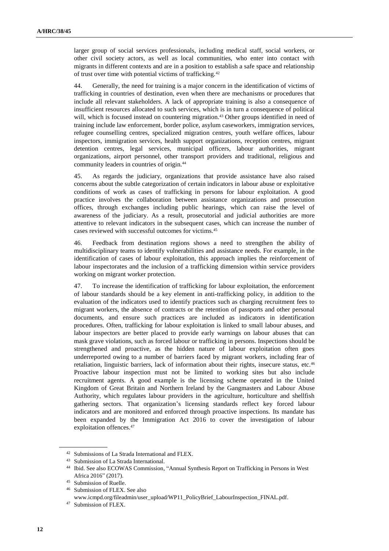larger group of social services professionals, including medical staff, social workers, or other civil society actors, as well as local communities, who enter into contact with migrants in different contexts and are in a position to establish a safe space and relationship of trust over time with potential victims of trafficking.<sup>42</sup>

44. Generally, the need for training is a major concern in the identification of victims of trafficking in countries of destination, even when there are mechanisms or procedures that include all relevant stakeholders. A lack of appropriate training is also a consequence of insufficient resources allocated to such services, which is in turn a consequence of political will, which is focused instead on countering migration.<sup>43</sup> Other groups identified in need of training include law enforcement, border police, asylum caseworkers, immigration services, refugee counselling centres, specialized migration centres, youth welfare offices, labour inspectors, immigration services, health support organizations, reception centres, migrant detention centres, legal services, municipal officers, labour authorities, migrant organizations, airport personnel, other transport providers and traditional, religious and community leaders in countries of origin.<sup>44</sup>

45. As regards the judiciary, organizations that provide assistance have also raised concerns about the subtle categorization of certain indicators in labour abuse or exploitative conditions of work as cases of trafficking in persons for labour exploitation. A good practice involves the collaboration between assistance organizations and prosecution offices, through exchanges including public hearings, which can raise the level of awareness of the judiciary. As a result, prosecutorial and judicial authorities are more attentive to relevant indicators in the subsequent cases, which can increase the number of cases reviewed with successful outcomes for victims.<sup>45</sup>

46. Feedback from destination regions shows a need to strengthen the ability of multidisciplinary teams to identify vulnerabilities and assistance needs. For example, in the identification of cases of labour exploitation, this approach implies the reinforcement of labour inspectorates and the inclusion of a trafficking dimension within service providers working on migrant worker protection.

47. To increase the identification of trafficking for labour exploitation, the enforcement of labour standards should be a key element in anti-trafficking policy, in addition to the evaluation of the indicators used to identify practices such as charging recruitment fees to migrant workers, the absence of contracts or the retention of passports and other personal documents, and ensure such practices are included as indicators in identification procedures. Often, trafficking for labour exploitation is linked to small labour abuses, and labour inspectors are better placed to provide early warnings on labour abuses that can mask grave violations, such as forced labour or trafficking in persons. Inspections should be strengthened and proactive, as the hidden nature of labour exploitation often goes underreported owing to a number of barriers faced by migrant workers, including fear of retaliation, linguistic barriers, lack of information about their rights, insecure status, etc.<sup>46</sup> Proactive labour inspection must not be limited to working sites but also include recruitment agents. A good example is the licensing scheme operated in the United Kingdom of Great Britain and Northern Ireland by the Gangmasters and Labour Abuse Authority, which regulates labour providers in the agriculture, horticulture and shellfish gathering sectors. That organization's licensing standards reflect key forced labour indicators and are monitored and enforced through proactive inspections. Its mandate has been expanded by the Immigration Act 2016 to cover the investigation of labour exploitation offences.<sup>47</sup>

<sup>42</sup> Submissions of La Strada International and FLEX.

<sup>43</sup> Submission of La Strada International.

<sup>44</sup> Ibid. See also ECOWAS Commission, "Annual Synthesis Report on Trafficking in Persons in West Africa 2016" (2017).

<sup>45</sup> Submission of Ruelle.

<sup>46</sup> Submission of FLEX. See also [www.icmpd.org/fileadmin/user\\_upload/WP11\\_PolicyBrief\\_LabourInspection\\_FINAL.pdf.](https://www.icmpd.org/fileadmin/user_upload/WP11_PolicyBrief_LabourInspection_FINAL.pdf)

<sup>47</sup> Submission of FLEX.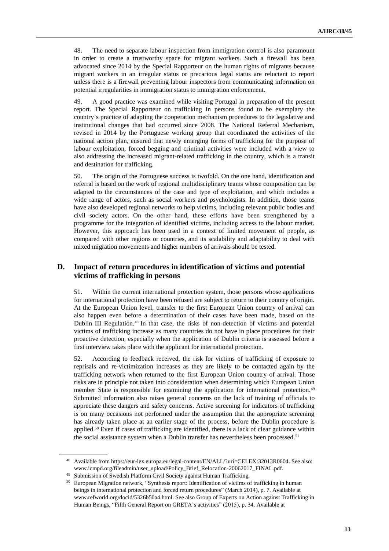48. The need to separate labour inspection from immigration control is also paramount in order to create a trustworthy space for migrant workers. Such a firewall has been advocated since 2014 by the Special Rapporteur on the human rights of migrants because migrant workers in an irregular status or precarious legal status are reluctant to report unless there is a firewall preventing labour inspectors from communicating information on potential irregularities in immigration status to immigration enforcement.

49. A good practice was examined while visiting Portugal in preparation of the present report. The Special Rapporteur on trafficking in persons found to be exemplary the country's practice of adapting the cooperation mechanism procedures to the legislative and institutional changes that had occurred since 2008. The National Referral Mechanism, revised in 2014 by the Portuguese working group that coordinated the activities of the national action plan, ensured that newly emerging forms of trafficking for the purpose of labour exploitation, forced begging and criminal activities were included with a view to also addressing the increased migrant-related trafficking in the country, which is a transit and destination for trafficking.

50. The origin of the Portuguese success is twofold. On the one hand, identification and referral is based on the work of regional multidisciplinary teams whose composition can be adapted to the circumstances of the case and type of exploitation, and which includes a wide range of actors, such as social workers and psychologists. In addition, those teams have also developed regional networks to help victims, including relevant public bodies and civil society actors. On the other hand, these efforts have been strengthened by a programme for the integration of identified victims, including access to the labour market. However, this approach has been used in a context of limited movement of people, as compared with other regions or countries, and its scalability and adaptability to deal with mixed migration movements and higher numbers of arrivals should be tested.

## **D. Impact of return procedures in identification of victims and potential victims of trafficking in persons**

51. Within the current international protection system, those persons whose applications for international protection have been refused are subject to return to their country of origin. At the European Union level, transfer to the first European Union country of arrival can also happen even before a determination of their cases have been made, based on the Dublin III Regulation.<sup>48</sup> In that case, the risks of non-detection of victims and potential victims of trafficking increase as many countries do not have in place procedures for their proactive detection, especially when the application of Dublin criteria is assessed before a first interview takes place with the applicant for international protection.

52. According to feedback received, the risk for victims of trafficking of exposure to reprisals and re-victimization increases as they are likely to be contacted again by the trafficking network when returned to the first European Union country of arrival. Those risks are in principle not taken into consideration when determining which European Union member State is responsible for examining the application for international protection.<sup>49</sup> Submitted information also raises general concerns on the lack of training of officials to appreciate these dangers and safety concerns. Active screening for indicators of trafficking is on many occasions not performed under the assumption that the appropriate screening has already taken place at an earlier stage of the process, before the Dublin procedure is applied.<sup>50</sup> Even if cases of trafficking are identified, there is a lack of clear guidance within the social assistance system when a Dublin transfer has nevertheless been processed.<sup>51</sup>

<sup>48</sup> Available from https://eur-lex.europa.eu/legal-content/EN/ALL/?uri=CELEX:32013R0604. See also: [www.icmpd.org/fileadmin/user\\_upload/Policy\\_Brief\\_Relocation-20062017\\_FINAL.pdf.](http://www.icmpd.org/fileadmin/user_upload/Policy_Brief_Relocation-20062017_FINAL.pdf)

<sup>&</sup>lt;sup>49</sup> Submission of Swedish Platform Civil Society against Human Trafficking.

<sup>50</sup> European Migration network, "Synthesis report: Identification of victims of trafficking in human beings in international protection and forced return procedures" (March 2014), p. 7. Available at www.refworld.org/docid/5326b50a4.html. See also Group of Experts on Action against Trafficking in Human Beings, "Fifth General Report on GRETA's activities" (2015), p. 34. Available at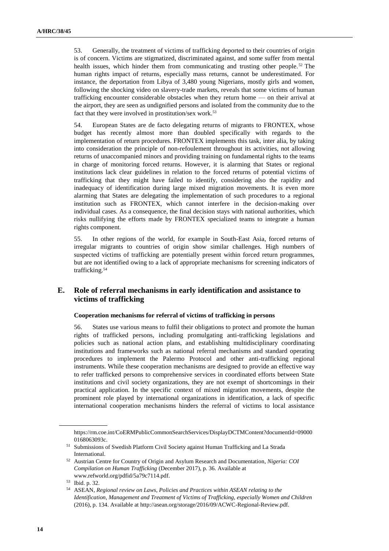53. Generally, the treatment of victims of trafficking deported to their countries of origin is of concern. Victims are stigmatized, discriminated against, and some suffer from mental health issues, which hinder them from communicating and trusting other people.<sup>52</sup> The human rights impact of returns, especially mass returns, cannot be underestimated. For instance, the deportation from Libya of 3,480 young Nigerians, mostly girls and women, following the shocking video on slavery-trade markets, reveals that some victims of human trafficking encounter considerable obstacles when they return home — on their arrival at the airport, they are seen as undignified persons and isolated from the community due to the fact that they were involved in prostitution/sex work.<sup>53</sup>

54. European States are de facto delegating returns of migrants to FRONTEX, whose budget has recently almost more than doubled specifically with regards to the implementation of return procedures. FRONTEX implements this task, inter alia, by taking into consideration the principle of non-refoulement throughout its activities, not allowing returns of unaccompanied minors and providing training on fundamental rights to the teams in charge of monitoring forced returns. However, it is alarming that States or regional institutions lack clear guidelines in relation to the forced returns of potential victims of trafficking that they might have failed to identify, considering also the rapidity and inadequacy of identification during large mixed migration movements. It is even more alarming that States are delegating the implementation of such procedures to a regional institution such as FRONTEX, which cannot interfere in the decision-making over individual cases. As a consequence, the final decision stays with national authorities, which risks nullifying the efforts made by FRONTEX specialized teams to integrate a human rights component.

55. In other regions of the world, for example in South-East Asia, forced returns of irregular migrants to countries of origin show similar challenges. High numbers of suspected victims of trafficking are potentially present within forced return programmes, but are not identified owing to a lack of appropriate mechanisms for screening indicators of trafficking.<sup>54</sup>

## **E. Role of referral mechanisms in early identification and assistance to victims of trafficking**

#### **Cooperation mechanisms for referral of victims of trafficking in persons**

56. States use various means to fulfil their obligations to protect and promote the human rights of trafficked persons, including promulgating anti-trafficking legislations and policies such as national action plans, and establishing multidisciplinary coordinating institutions and frameworks such as national referral mechanisms and standard operating procedures to implement the Palermo Protocol and other anti-trafficking regional instruments. While these cooperation mechanisms are designed to provide an effective way to refer trafficked persons to comprehensive services in coordinated efforts between State institutions and civil society organizations, they are not exempt of shortcomings in their practical application. In the specific context of mixed migration movements, despite the prominent role played by international organizations in identification, a lack of specific international cooperation mechanisms hinders the referral of victims to local assistance

https://rm.coe.int/CoERMPublicCommonSearchServices/DisplayDCTMContent?documentId=09000 0168063093c.

<sup>51</sup> Submissions of Swedish Platform Civil Society against Human Trafficking and La Strada International.

<sup>52</sup> Austrian Centre for Country of Origin and Asylum Research and Documentation, *Nigeria: COI Compilation on Human Trafficking* (December 2017), p. 36. Available at [www.refworld.org/pdfid/5a79c7114.pdf.](http://www.refworld.org/pdfid/5a79c7114.pdf)

<sup>53</sup> Ibid. p. 32.

<sup>54</sup> ASEAN, *Regional review on Laws, Policies and Practices within ASEAN relating to the Identification, Management and Treatment of Victims of Trafficking, especially Women and Children* (2016), p. 134. Available at [http://asean.org/storage/2016/09/ACWC-Regional-Review.pdf.](http://asean.org/storage/2016/09/ACWC-Regional-Review.pdf)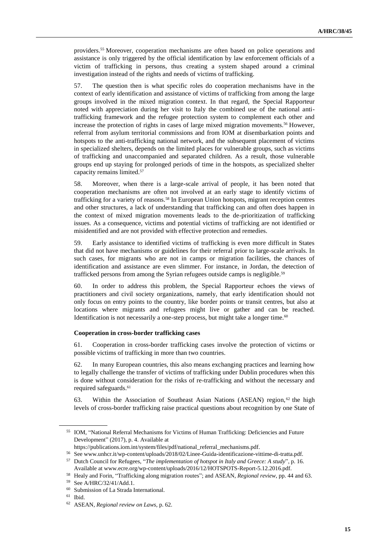providers.<sup>55</sup> Moreover, cooperation mechanisms are often based on police operations and assistance is only triggered by the official identification by law enforcement officials of a victim of trafficking in persons, thus creating a system shaped around a criminal investigation instead of the rights and needs of victims of trafficking.

57. The question then is what specific roles do cooperation mechanisms have in the context of early identification and assistance of victims of trafficking from among the large groups involved in the mixed migration context. In that regard, the Special Rapporteur noted with appreciation during her visit to Italy the combined use of the national antitrafficking framework and the refugee protection system to complement each other and increase the protection of rights in cases of large mixed migration movements.<sup>56</sup> However, referral from asylum territorial commissions and from IOM at disembarkation points and hotspots to the anti-trafficking national network, and the subsequent placement of victims in specialized shelters, depends on the limited places for vulnerable groups, such as victims of trafficking and unaccompanied and separated children. As a result, those vulnerable groups end up staying for prolonged periods of time in the hotspots, as specialized shelter capacity remains limited.<sup>57</sup>

58. Moreover, when there is a large-scale arrival of people, it has been noted that cooperation mechanisms are often not involved at an early stage to identify victims of trafficking for a variety of reasons.<sup>58</sup> In European Union hotspots, migrant reception centres and other structures, a lack of understanding that trafficking can and often does happen in the context of mixed migration movements leads to the de-prioritization of trafficking issues. As a consequence, victims and potential victims of trafficking are not identified or misidentified and are not provided with effective protection and remedies.

59. Early assistance to identified victims of trafficking is even more difficult in States that did not have mechanisms or guidelines for their referral prior to large-scale arrivals. In such cases, for migrants who are not in camps or migration facilities, the chances of identification and assistance are even slimmer. For instance, in Jordan, the detection of trafficked persons from among the Syrian refugees outside camps is negligible.<sup>59</sup>

60. In order to address this problem, the Special Rapporteur echoes the views of practitioners and civil society organizations, namely, that early identification should not only focus on entry points to the country, like border points or transit centres, but also at locations where migrants and refugees might live or gather and can be reached. Identification is not necessarily a one-step process, but might take a longer time.<sup>60</sup>

#### **Cooperation in cross-border trafficking cases**

61. Cooperation in cross-border trafficking cases involve the protection of victims or possible victims of trafficking in more than two countries.

62. In many European countries, this also means exchanging practices and learning how to legally challenge the transfer of victims of trafficking under Dublin procedures when this is done without consideration for the risks of re-trafficking and without the necessary and required safeguards.<sup>61</sup>

63. Within the Association of Southeast Asian Nations (ASEAN) region,  $62$  the high levels of cross-border trafficking raise practical questions about recognition by one State of

<sup>55</sup> IOM, "National Referral Mechanisms for Victims of Human Trafficking: Deficiencies and Future Development" (2017), p. 4. Available at

[https://publications.iom.int/system/files/pdf/national\\_referral\\_mechanisms.pdf.](https://publications.iom.int/system/files/pdf/national_referral_mechanisms.pdf)

<sup>56</sup> See www.unhcr.it/wp-content/uploads/2018/02/Linee-Guida-identificazione-vittime-di-tratta.pdf.

<sup>57</sup> Dutch Council for Refugees, "*The implementation of hotspot in Italy and Greece: A study*", p. 16. Available at www.ecre.org/wp-content/uploads/2016/12/HOTSPOTS-Report-5.12.2016.pdf.

<sup>58</sup> Healy and Forin, "Trafficking along migration routes"; and ASEAN, *Regional review*, pp. 44 and 63.

<sup>59</sup> See A/HRC/32/41/Add.1.

<sup>60</sup> Submission of La Strada International.

<sup>61</sup> Ibid.

<sup>62</sup> ASEAN, *Regional review on Laws,* p. 62.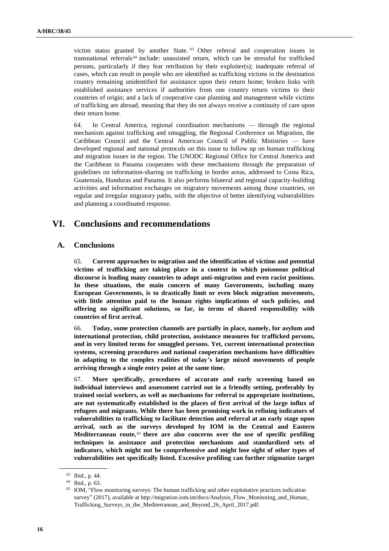victim status granted by another State. <sup>63</sup> Other referral and cooperation issues in transnational referrals <sup>64</sup> include: unassisted return, which can be stressful for trafficked persons, particularly if they fear retribution by their exploiter(s); inadequate referral of cases, which can result in people who are identified as trafficking victims in the destination country remaining unidentified for assistance upon their return home; broken links with established assistance services if authorities from one country return victims to their countries of origin; and a lack of cooperative case planning and management while victims of trafficking are abroad, meaning that they do not always receive a continuity of care upon their return home.

64. In Central America, regional coordination mechanisms — through the regional mechanism against trafficking and smuggling, the Regional Conference on Migration, the Caribbean Council and the Central American Council of Public Ministries — have developed regional and national protocols on this issue to follow up on human trafficking and migration issues in the region. The UNODC Regional Office for Central America and the Caribbean in Panama cooperates with these mechanisms through the preparation of guidelines on information-sharing on trafficking in border areas, addressed to Costa Rica, Guatemala, Honduras and Panama. It also performs bilateral and regional capacity-building activities and information exchanges on migratory movements among those countries, on regular and irregular migratory paths, with the objective of better identifying vulnerabilities and planning a coordinated response.

## **VI. Conclusions and recommendations**

### **A. Conclusions**

65. **Current approaches to migration and the identification of victims and potential victims of trafficking are taking place in a context in which poisonous political discourse is leading many countries to adopt anti-migration and even racist positions. In these situations, the main concern of many Governments, including many European Governments, is to drastically limit or even block migration movements, with little attention paid to the human rights implications of such policies, and offering no significant solutions, so far, in terms of shared responsibility with countries of first arrival.** 

66. **Today, some protection channels are partially in place, namely, for asylum and international protection, child protection, assistance measures for trafficked persons, and in very limited terms for smuggled persons. Yet, current international protection systems, screening procedures and national cooperation mechanisms have difficulties in adapting to the complex realities of today's large mixed movements of people arriving through a single entry point at the same time.** 

67. **More specifically, procedures of accurate and early screening based on individual interviews and assessment carried out in a friendly setting, preferably by trained social workers, as well as mechanisms for referral to appropriate institutions, are not systematically established in the places of first arrival of the large influx of refugees and migrants. While there has been promising work in refining indicators of vulnerabilities to trafficking to facilitate detection and referral at an early stage upon arrival, such as the surveys developed by IOM in the Central and Eastern Mediterranean route,** <sup>65</sup> **there are also concerns over the use of specific profiling techniques in assistance and protection mechanisms and standardized sets of indicators, which might not be comprehensive and might lose sight of other types of vulnerabilities not specifically listed. Excessive profiling can further stigmatize target** 

<sup>63</sup> Ibid., p. 44.

<sup>64</sup> Ibid., p. 63.

<sup>&</sup>lt;sup>65</sup> IOM, "Flow monitoring surveys: The human trafficking and other exploitative practices indication survey" (2017), available at http://migration.iom.int/docs/Analysis\_Flow\_Monitoring\_and\_Human\_ Trafficking\_Surveys\_in\_the\_Mediterranean\_and\_Beyond\_26\_April\_2017.pdf.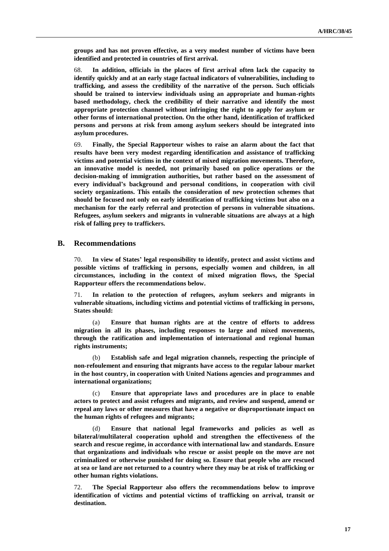**groups and has not proven effective, as a very modest number of victims have been identified and protected in countries of first arrival.** 

68. **In addition, officials in the places of first arrival often lack the capacity to identify quickly and at an early stage factual indicators of vulnerabilities, including to trafficking, and assess the credibility of the narrative of the person. Such officials should be trained to interview individuals using an appropriate and human-rights based methodology, check the credibility of their narrative and identify the most appropriate protection channel without infringing the right to apply for asylum or other forms of international protection. On the other hand, identification of trafficked persons and persons at risk from among asylum seekers should be integrated into asylum procedures.** 

69. **Finally, the Special Rapporteur wishes to raise an alarm about the fact that results have been very modest regarding identification and assistance of trafficking victims and potential victims in the context of mixed migration movements. Therefore, an innovative model is needed, not primarily based on police operations or the decision-making of immigration authorities, but rather based on the assessment of every individual's background and personal conditions, in cooperation with civil society organizations. This entails the consideration of new protection schemes that should be focused not only on early identification of trafficking victims but also on a mechanism for the early referral and protection of persons in vulnerable situations. Refugees, asylum seekers and migrants in vulnerable situations are always at a high risk of falling prey to traffickers.**

### **B. Recommendations**

70. **In view of States' legal responsibility to identify, protect and assist victims and possible victims of trafficking in persons, especially women and children, in all circumstances, including in the context of mixed migration flows, the Special Rapporteur offers the recommendations below.**

71. **In relation to the protection of refugees, asylum seekers and migrants in vulnerable situations, including victims and potential victims of trafficking in persons, States should:**

(a) **Ensure that human rights are at the centre of efforts to address migration in all its phases, including responses to large and mixed movements, through the ratification and implementation of international and regional human rights instruments;**

(b) **Establish safe and legal migration channels, respecting the principle of non-refoulement and ensuring that migrants have access to the regular labour market in the host country, in cooperation with United Nations agencies and programmes and international organizations;**

(c) **Ensure that appropriate laws and procedures are in place to enable actors to protect and assist refugees and migrants, and review and suspend, amend or repeal any laws or other measures that have a negative or disproportionate impact on the human rights of refugees and migrants;**

(d) **Ensure that national legal frameworks and policies as well as bilateral/multilateral cooperation uphold and strengthen the effectiveness of the search and rescue regime, in accordance with international law and standards. Ensure that organizations and individuals who rescue or assist people on the move are not criminalized or otherwise punished for doing so. Ensure that people who are rescued at sea or land are not returned to a country where they may be at risk of trafficking or other human rights violations.**

72. **The Special Rapporteur also offers the recommendations below to improve identification of victims and potential victims of trafficking on arrival, transit or destination.**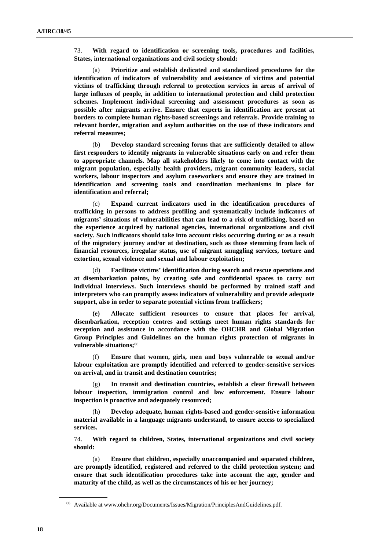73. **With regard to identification or screening tools, procedures and facilities, States, international organizations and civil society should:**

(a) **Prioritize and establish dedicated and standardized procedures for the identification of indicators of vulnerability and assistance of victims and potential victims of trafficking through referral to protection services in areas of arrival of large influxes of people, in addition to international protection and child protection schemes. Implement individual screening and assessment procedures as soon as possible after migrants arrive. Ensure that experts in identification are present at borders to complete human rights-based screenings and referrals. Provide training to relevant border, migration and asylum authorities on the use of these indicators and referral measures;**

(b) **Develop standard screening forms that are sufficiently detailed to allow first responders to identify migrants in vulnerable situations early on and refer them to appropriate channels. Map all stakeholders likely to come into contact with the migrant population, especially health providers, migrant community leaders, social workers, labour inspectors and asylum caseworkers and ensure they are trained in identification and screening tools and coordination mechanisms in place for identification and referral;**

(c) **Expand current indicators used in the identification procedures of trafficking in persons to address profiling and systematically include indicators of migrants' situations of vulnerabilities that can lead to a risk of trafficking, based on the experience acquired by national agencies, international organizations and civil society. Such indicators should take into account risks occurring during or as a result of the migratory journey and/or at destination, such as those stemming from lack of financial resources, irregular status, use of migrant smuggling services, torture and extortion, sexual violence and sexual and labour exploitation;**

(d) **Facilitate victims' identification during search and rescue operations and at disembarkation points, by creating safe and confidential spaces to carry out individual interviews. Such interviews should be performed by trained staff and interpreters who can promptly assess indicators of vulnerability and provide adequate support, also in order to separate potential victims from traffickers;** 

**(e) Allocate sufficient resources to ensure that places for arrival, disembarkation, reception centres and settings meet human rights standards for reception and assistance in accordance with the OHCHR and Global Migration Group Principles and Guidelines on the human rights protection of migrants in vulnerable situations;**<sup>66</sup>

(f) **Ensure that women, girls, men and boys vulnerable to sexual and/or labour exploitation are promptly identified and referred to gender-sensitive services on arrival, and in transit and destination countries;** 

(g) **In transit and destination countries, establish a clear firewall between labour inspection, immigration control and law enforcement. Ensure labour inspection is proactive and adequately resourced;**

(h) **Develop adequate, human rights-based and gender-sensitive information material available in a language migrants understand, to ensure access to specialized services.**

74. **With regard to children, States, international organizations and civil society should:**

(a) **Ensure that children, especially unaccompanied and separated children, are promptly identified, registered and referred to the child protection system; and ensure that such identification procedures take into account the age, gender and maturity of the child, as well as the circumstances of his or her journey;** 

<sup>66</sup> Available at www.ohchr.org/Documents/Issues/Migration/PrinciplesAndGuidelines.pdf.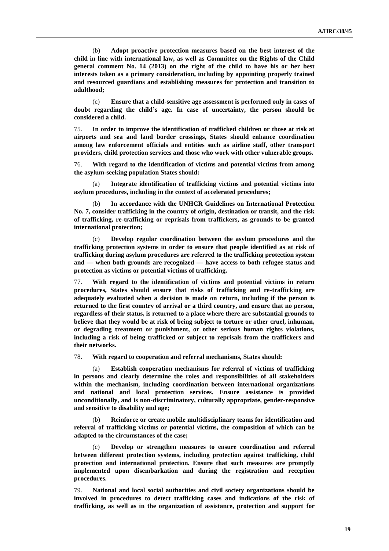(b) **Adopt proactive protection measures based on the best interest of the child in line with international law, as well as Committee on the Rights of the Child general comment No. 14 (2013) on the right of the child to have his or her best interests taken as a primary consideration, including by appointing properly trained and resourced guardians and establishing measures for protection and transition to adulthood;**

(c) **Ensure that a child-sensitive age assessment is performed only in cases of doubt regarding the child's age. In case of uncertainty, the person should be considered a child.**

75. **In order to improve the identification of trafficked children or those at risk at airports and sea and land border crossings, States should enhance coordination among law enforcement officials and entities such as airline staff, other transport providers, child protection services and those who work with other vulnerable groups.**

76. **With regard to the identification of victims and potential victims from among the asylum-seeking population States should:**

(a) **Integrate identification of trafficking victims and potential victims into asylum procedures, including in the context of accelerated procedures;**

(b) **In accordance with the UNHCR Guidelines on International Protection No. 7, consider trafficking in the country of origin, destination or transit, and the risk of trafficking, re-trafficking or reprisals from traffickers, as grounds to be granted international protection;** 

(c) **Develop regular coordination between the asylum procedures and the trafficking protection systems in order to ensure that people identified as at risk of trafficking during asylum procedures are referred to the trafficking protection system and — when both grounds are recognized — have access to both refugee status and protection as victims or potential victims of trafficking.**

77. **With regard to the identification of victims and potential victims in return procedures, States should ensure that risks of trafficking and re-trafficking are adequately evaluated when a decision is made on return, including if the person is returned to the first country of arrival or a third country, and ensure that no person, regardless of their status, is returned to a place where there are substantial grounds to believe that they would be at risk of being subject to torture or other cruel, inhuman, or degrading treatment or punishment, or other serious human rights violations, including a risk of being trafficked or subject to reprisals from the traffickers and their networks.**

78. **With regard to cooperation and referral mechanisms, States should:**

(a) **Establish cooperation mechanisms for referral of victims of trafficking in persons and clearly determine the roles and responsibilities of all stakeholders within the mechanism, including coordination between international organizations and national and local protection services. Ensure assistance is provided unconditionally, and is non-discriminatory, culturally appropriate, gender-responsive and sensitive to disability and age;**

(b) **Reinforce or create mobile multidisciplinary teams for identification and referral of trafficking victims or potential victims, the composition of which can be adapted to the circumstances of the case;**

(c) **Develop or strengthen measures to ensure coordination and referral between different protection systems, including protection against trafficking, child protection and international protection. Ensure that such measures are promptly implemented upon disembarkation and during the registration and reception procedures.**

79. **National and local social authorities and civil society organizations should be involved in procedures to detect trafficking cases and indications of the risk of trafficking, as well as in the organization of assistance, protection and support for**